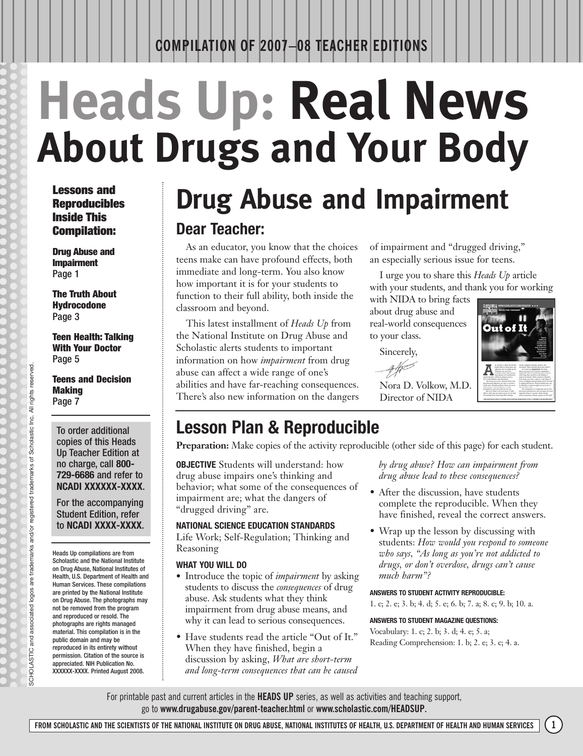## **COMPILATION OF 2007–08 TEACHER EDITIONS**

# **Heads Up: Real News About Drugs and Your Body**

#### **Lessons and Reproducibles Inside This Compilation:**

**Drug Abuse and Impairment** Page 1

**The Truth About Hydrocodone** Page 3

**Teen Health: Talking With Your Doctor** Page 5

**Teens and Decision Making** Page 7

To order additional copies of this Heads Up Teacher Edition at no charge, call **800- 729-6686** and refer to **NCADI XXXXXX-XXXX**.

For the accompanying Student Edition, refer to **NCADI XXXX-XXXX**.

Heads Up compilations are from Scholastic and the National Institute on Drug Abuse, National Institutes of Health, U.S. Department of Health and Human Services. These compilations are printed by the National Institute on Drug Abuse. The photographs may not be removed from the program and reproduced or resold. The photographs are rights managed material. This compilation is in the public domain and may be reproduced in its entirety without permission. Citation of the source is appreciated. NIH Publication No. XXXXXX-XXXX. Printed August 2008.

# **Dear Teacher: Drug Abuse and Impairment**

As an educator, you know that the choices teens make can have profound effects, both immediate and long-term. You also know how important it is for your students to function to their full ability, both inside the classroom and beyond.

This latest installment of *Heads Up* from the National Institute on Drug Abuse and Scholastic alerts students to important information on how *impairment* from drug abuse can affect a wide range of one's abilities and have far-reaching consequences. There's also new information on the dangers of impairment and "drugged driving," an especially serious issue for teens.

I urge you to share this *Heads Up* article with your students, and thank you for working

with NIDA to bring facts about drug abuse and real-world consequences to your class.

Sincerely,



Nora D. Volkow, M.D. Director of NIDA



**1**

## **Lesson Plan & Reproducible**

**Preparation:** Make copies of the activity reproducible (other side of this page) for each student.

**OBJECTIVE** Students will understand: how drug abuse impairs one's thinking and behavior; what some of the consequences of impairment are; what the dangers of "drugged driving" are.

#### **NATIONAL SCIENCE EDUCATION STANDARDS**

Life Work; Self-Regulation; Thinking and Reasoning

#### **WHAT YOU WILL DO**

- **•** Introduce the topic of *impairment* by asking students to discuss the *consequences* of drug abuse. Ask students what they think impairment from drug abuse means, and why it can lead to serious consequences.
- Have students read the article "Out of It." When they have finished, begin a discussion by asking, *What are short-term and long-term consequences that can be caused*

*by drug abuse? How can impairment from drug abuse lead to these consequences?*

- After the discussion, have students complete the reproducible. When they have finished, reveal the correct answers.
- Wrap up the lesson by discussing with students: *How would you respond to someone who says, "As long as you're not addicted to drugs, or don't overdose, drugs can't cause much harm"?*

#### **ANSWERS TO STUDENT ACTIVITY REPRODUCIBLE:**

1. c; 2. e; 3. b; 4. d; 5. e; 6. b; 7. a; 8. c; 9. b; 10. a.

**ANSWERS TO STUDENT MAGAZINE QUESTIONS:**  Vocabulary: 1. c; 2. b; 3. d; 4. e; 5. a;

Reading Comprehension: 1. b; 2. e; 3. c; 4. a.

For printable past and current articles in the **HEADS UP** series, as well as activities and teaching support, go to **www.drugabuse.gov/parent-teacher.html** or **www.scholastic.com/HEADSUP.**

SCHOLASTIC and associated logos are trademarks and/or registered trademarks of Scholastic Inc. All rights reserved.

SCHOLASTIC and associated logos are trademarks and/or registered trademarks of Scholastic Inc. All rights reserved.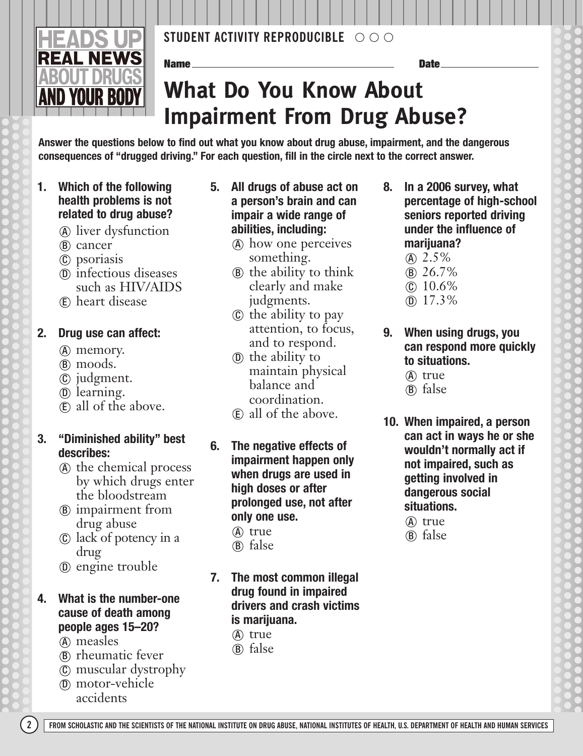

**Name Date**

# **What Do You Know About Impairment From Drug Abuse?**

**Answer the questions below to find out what you know about drug abuse, impairment, and the dangerous consequences of "drugged driving." For each question, fill in the circle next to the correct answer.**

#### **1. Which of the following health problems is not related to drug abuse?**

- **A** liver dysfunction
	- (B) cancer

**HEADS UP<br>REAL NEWS** 

- **C** psoriasis
- such as HIV/AIDS  $\overline{0}$  infectious diseases
	- E heart disease

### **2. Drug use can affect:**

- A memory.
- B moods.
- C judgment.
- D learning.
- E all of the above.

#### **3. "Diminished ability" best describes:**

- A the chemical process by which drugs enter the bloodstream
- B impairment from drug abuse
- C lack of potency in a drug
- D engine trouble

#### **4. What is the number-one cause of death among people ages 15–20?** A measles

- (B) rheumatic fever
- C muscular dystrophy
- D motor-vehicle accidents
- **5. All drugs of abuse act on a person's brain and can impair a wide range of abilities, including:**
	- A how one perceives something.
	- B the ability to think clearly and make judgments.
	- C the ability to pay attention, to focus, and to respond.
	- D the ability to maintain physical balance and coordination.
	- E all of the above.
- **6. The negative effects of impairment happen only when drugs are used in high doses or after prolonged use, not after only one use.** A true B false
- **7. The most common illegal drug found in impaired drivers and crash victims is marijuana.**
	- A true
	- B false
- **8. In a 2006 survey, what percentage of high-school seniors reported driving under the influence of marijuana?**
	- $A)$  2.5%
	- $(B) 26.7%$
	- $\circ$  10.6%
	- $(D)$  17.3%
- **9. When using drugs, you can respond more quickly to situations.**
	- A true
	- B false
- **10. When impaired, a person can act in ways he or she wouldn't normally act if not impaired, such as getting involved in dangerous social situations.**
	- A true
	- (B) false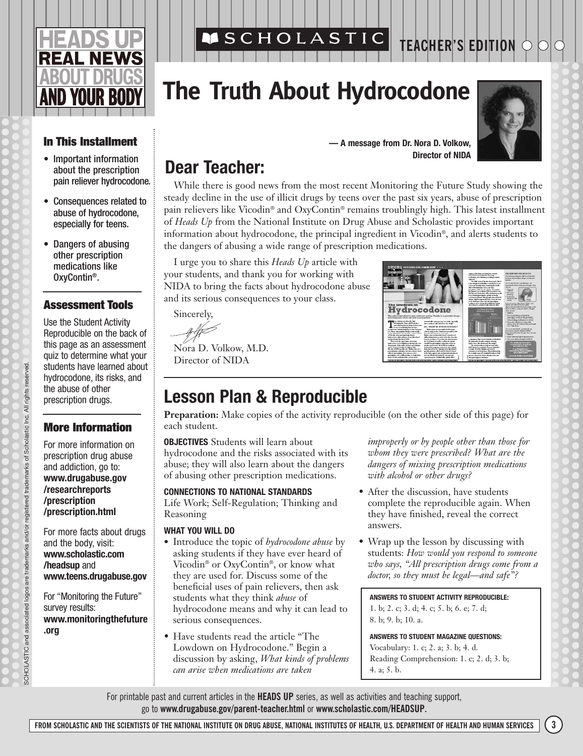

# **TEACHER'S EDITION**

# **The Truth About Hydrocodone**



#### **In This Installment**

- Important information about the prescription pain reliever hydrocodone.
- Consequences related to abuse of hydrocodone, especially for teens.
- other prescription **EXPECTANY TOT LEGTIS.**<br>• Dangers of abusing medications like<br>OxyContin®. medications like

#### **AND YOUR BODY Assessment Tools**

Use the Student Activity Reproducible on the back of this page as an assessment quiz to determine what your students have learned about hydrocodone, its risks, and the abuse of other prescription drugs.

#### **More Information**

For more information on prescription drug abuse and addiction, go to: **www.drugabuse.gov /researchreports /prescription /prescription.html**

For more facts about drugs and the body, visit: **www.scholastic.com /headsup** and **www.teens.drugabuse.gov**

For "Monitoring the Future" survey results: **www.monitoringthefuture .org**

**— A message from Dr. Nora D. Volkow, Director of NIDA**

# **Dear Teacher:**

While there is good news from the most recent Monitoring the Future Study showing the steady decline in the use of illicit drugs by teens over the past six years, abuse of prescription pain relievers like Vicodin® and OxyContin® remains troublingly high. This latest installment of *Heads Up* from the National Institute on Drug Abuse and Scholastic provides important information about hydrocodone, the principal ingredient in Vicodin®, and alerts students to the dangers of abusing a wide range of prescription medications.

I urge you to share this *Heads Up* article with your students, and thank you for working with NIDA to bring the facts about hydrocodone abuse and its serious consequences to your class.

Sincerely,

Nora D. Volkow, M.D. Director of NIDA

### **Lesson Plan & Reproducible**

**Preparation:** Make copies of the activity reproducible (on the other side of this page) for each student.

**OBJECTIVES** Students will learn about hydrocodone and the risks associated with its abuse; they will also learn about the dangers of abusing other prescription medications.

#### **CONNECTIONS TO NATIONAL STANDARDS**

Life Work; Self-Regulation; Thinking and Reasoning

#### **WHAT YOU WILL DO**

- **•** Introduce the topic of *hydrocodone abuse* by asking students if they have ever heard of Vicodin® or OxyContin®, or know what they are used for. Discuss some of the beneficial uses of pain relievers, then ask students what they think *abuse* of hydrocodone means and why it can lead to serious consequences.
- Have students read the article "The Lowdown on Hydrocodone." Begin a discussion by asking, *What kinds of problems can arise when medications are taken*

*improperly or by people other than those for whom they were prescribed? What are the dangers of mixing prescription medications with alcohol or other drugs?*

- After the discussion, have students complete the reproducible again. When they have finished, reveal the correct answers.
- Wrap up the lesson by discussing with students: *How would you respond to someone who says, "All prescription drugs come from a doctor, so they must be legal—and safe"?*

**ANSWERS TO STUDENT ACTIVITY REPRODUCIBLE:**  1. b; 2. c; 3. d; 4. c; 5. b; 6. e; 7. d; 8. b; 9. b; 10. a.

**ANSWERS TO STUDENT MAGAZINE QUESTIONS:**  Vocabulary: 1. c; 2. a; 3. b; 4. d. Reading Comprehension: 1. c; 2. d; 3. b; 4. a; 5. b.

For printable past and current articles in the **HEADS UP** series, as well as activities and teaching support, go to **www.drugabuse.gov/parent-teacher.html** or **www.scholastic.com/HEADSUP.**

**FROM SCHOLASTIC AND THE SCIENTISTS OF THE NATIONAL INSTITUTE ON DRUG ABUSE, NATIONAL INSTITUTES OF HEALTH, U.S. DEPARTMENT OF HEALTH AND HUMAN SERVICES 3**

Hydrocodone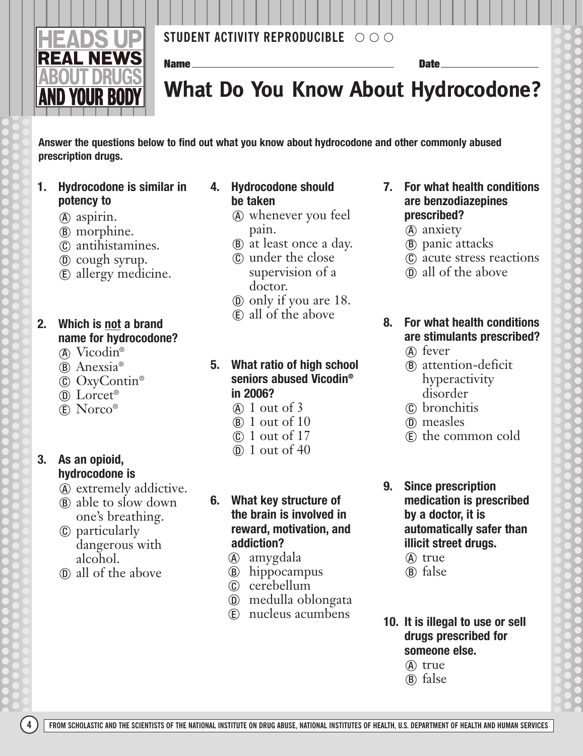### **STUDENT ACTIVITY REPRODUCIBLE**

**Name Date**

# **What Do You Know About Hydrocodone?**

**Answer the questions below to find out what you know about hydrocodone and other commonly abused prescription drugs.**

- **1. Hydrocodone is similar in potency to**
	- A aspirin.

**HEADS UP<br>REAL NEWS** 

- **B** morphine.
	- C antihistamines.
- **D** cough syrup.
- $\bullet$  allergy medicine.

#### **2. Which is not a brand name for hydrocodone?**

- A Vicodin®
- B Anexsia®
- C OxyContin®
- D Lorcet®
- E Norco®

### **3. As an opioid, hydrocodone is**

- A extremely addictive.
- B able to slow down one's breathing.
- C particularly dangerous with alcohol.
- D all of the above
- **4. Hydrocodone should be taken**
	- A whenever you feel pain.
	- B at least once a day.
	- C under the close supervision of a doctor.
	- D only if you are 18.
	- E all of the above

**5. What ratio of high school seniors abused Vicodin® in 2006?**

- $A$  1 out of 3
- $\circledR$  1 out of 10
- $\circ$  1 out of 17
- $\Omega$  1 out of 40
- **6. What key structure of the brain is involved in reward, motivation, and addiction?**
	- A amygdala
	- B hippocampus
	- C cerebellum
	- D medulla oblongata
	- E nucleus acumbens
- **7. For what health conditions are benzodiazepines prescribed?**
	- A anxiety
	- B panic attacks
	- C acute stress reactions
	- D all of the above

### **8. For what health conditions are stimulants prescribed?**

- A fever
- B attention-deficit hyperactivity disorder
- C bronchitis
- D measles
- E the common cold
- **9. Since prescription medication is prescribed by a doctor, it is automatically safer than illicit street drugs.**
	- A true
	- B false
- **10. It is illegal to use or sell drugs prescribed for someone else.**
	- A true
	- B false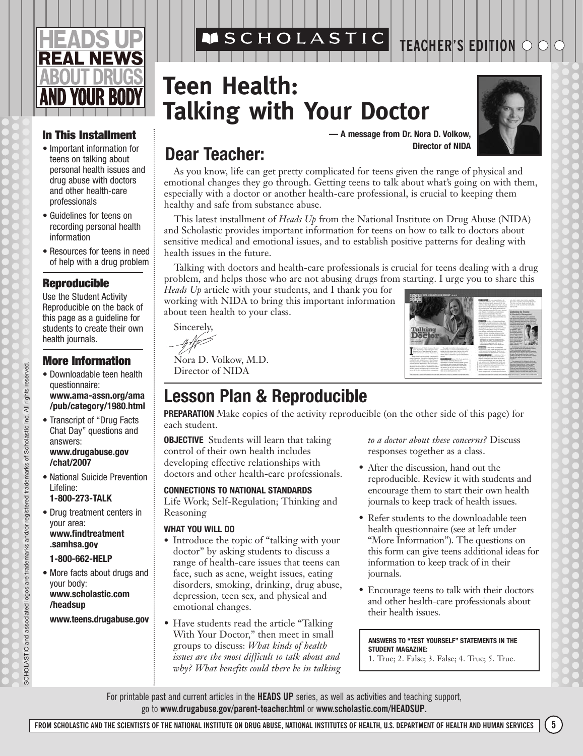

#### **In This Installment**

- Important information for teens on talking about personal health issues and drug abuse with doctors and other health-care professionals
- recording personal health<br>information • Guidelines for teens on information
- Resources for teens in need<br>of help with a drug problem **About the Little** of help with a drug problem

#### **Reproducible**

**ACPI OURGINIC**<br>Use the Student Activity Reproducible on the back of this page as a guideline for students to create their own health journals.

#### **More Information**

- Downloadable teen health questionnaire: **www.ama-assn.org/ama /pub/category/1980.html**
- Transcript of "Drug Facts Chat Day" questions and answers: **www.drugabuse.gov /chat/2007**
- National Suicide Prevention Lifeline:
	- **1-800-273-TALK**

SCHOLASTIC and associated logos are trademarks and/or registered trademarks of Scholastic Inc. All rights reserved.

SCHOLASTIC and associated logos are trademarks and/or registered trademarks of Scholastic Inc. All rights reserved.

• Drug treatment centers in your area: **www.findtreatment .samhsa.gov**

#### **1-800-662-HELP**

• More facts about drugs and your body: **www.scholastic.com /headsup**

**www.teens.drugabuse.gov**

**MSCHOLASTIC** 

# **TEACHER'S EDITION**

# **Teen Health: Talking with Your Doctor**



**— A message from Dr. Nora D. Volkow,**

# **Director of NIDA Dear Teacher:**

As you know, life can get pretty complicated for teens given the range of physical and emotional changes they go through. Getting teens to talk about what's going on with them, especially with a doctor or another health-care professional, is crucial to keeping them healthy and safe from substance abuse.

This latest installment of *Heads Up* from the National Institute on Drug Abuse (NIDA) and Scholastic provides important information for teens on how to talk to doctors about sensitive medical and emotional issues, and to establish positive patterns for dealing with health issues in the future.

Talking with doctors and health-care professionals is crucial for teens dealing with a drug problem, and helps those who are not abusing drugs from starting. I urge you to share this

*Heads Up* article with your students, and I thank you for working with NIDA to bring this important information about teen health to your class.

Sincerely,

Nora D. Volkow, M.D. Director of NIDA

# **Lesson Plan & Reproducible**

**PREPARATION** Make copies of the activity reproducible (on the other side of this page) for each student.

**OBJECTIVE** Students will learn that taking control of their own health includes developing effective relationships with doctors and other health-care professionals.

#### **CONNECTIONS TO NATIONAL STANDARDS**

Life Work; Self-Regulation; Thinking and Reasoning

#### **WHAT YOU WILL DO**

- **•** Introduce the topic of "talking with your doctor" by asking students to discuss a range of health-care issues that teens can face, such as acne, weight issues, eating disorders, smoking, drinking, drug abuse, depression, teen sex, and physical and emotional changes.
- Have students read the article "Talking With Your Doctor," then meet in small groups to discuss: *What kinds of health issues are the most difficult to talk about and why? What benefits could there be in talking*

*to a doctor about these concerns?* Discuss responses together as a class.

- After the discussion, hand out the reproducible. Review it with students and encourage them to start their own health journals to keep track of health issues.
- Refer students to the downloadable teen health questionnaire (see at left under "More Information"). The questions on this form can give teens additional ideas for information to keep track of in their journals.
- Encourage teens to talk with their doctors and other health-care professionals about their health issues.

**ANSWERS TO "TEST YOURSELF" STATEMENTS IN THE STUDENT MAGAZINE:**  1. True; 2. False; 3. False; 4. True; 5. True.

For printable past and current articles in the **HEADS UP** series, as well as activities and teaching support, go to **www.drugabuse.gov/parent-teacher.html** or **www.scholastic.com/HEADSUP.**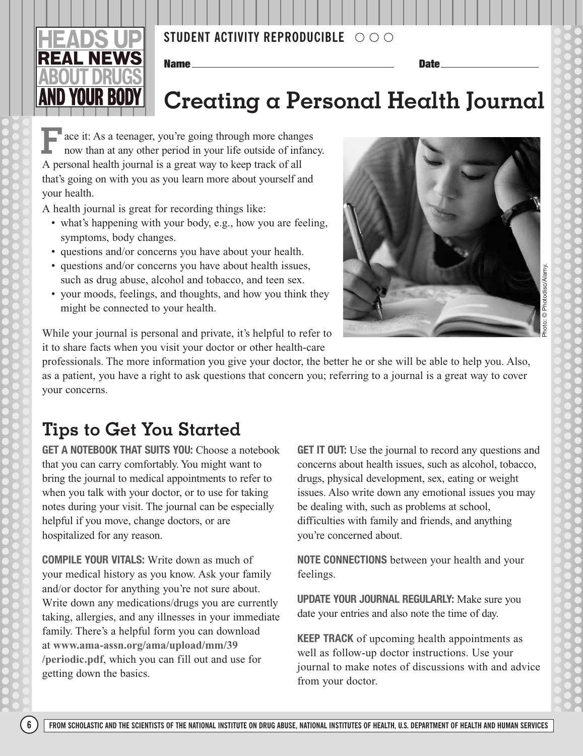### **STUDENT ACTIVITY REPRODUCIBLE**



## **Name Date**

# **Creating a Personal Health Journal**

**F** ace it: As a teenager, you're going through more changes now than at any other period in your life outside of infanc now than at any other period in your life outside of infancy. A personal health journal is a great way to keep track of all that's going on with you as you learn more about yourself and your health.

A health journal is great for recording things like:

- what's happening with you • what's happening with your body, e.g., how you are feeling,
- questions and/or concerns you have about your health.
- questions and/or concerns you have about health issues such as drug abuse, alcohol and tobacco, and teen sex. • questions and/or concerns you have about health issues,
- your moods, feelings, and thoughts, and how you think they might be connected to your health.



While your journal is personal and private, it's helpful to refer to it to share facts when you visit your doctor or other health-care

professionals. The more information you give your doctor, the better he or she will be able to help you. Also, as a patient, you have a right to ask questions that concern you; referring to a journal is a great way to cover your concerns.

# **Tips to Get You Started**

**GET A NOTEBOOK THAT SUITS YOU:** Choose a notebook that you can carry comfortably. You might want to bring the journal to medical appointments to refer to when you talk with your doctor, or to use for taking notes during your visit. The journal can be especially helpful if you move, change doctors, or are hospitalized for any reason.

**COMPILE YOUR VITALS:** Write down as much of your medical history as you know. Ask your family and/or doctor for anything you're not sure about. Write down any medications/drugs you are currently taking, allergies, and any illnesses in your immediate family. There's a helpful form you can download at **www.ama-assn.org/ama/upload/mm/39 /periodic.pdf**, which you can fill out and use for getting down the basics.

**GET IT OUT:** Use the journal to record any questions and concerns about health issues, such as alcohol, tobacco, drugs, physical development, sex, eating or weight issues. Also write down any emotional issues you may be dealing with, such as problems at school, difficulties with family and friends, and anything you're concerned about.

**NOTE CONNECTIONS** between your health and your feelings.

**UPDATE YOUR JOURNAL REGULARLY:** Make sure you date your entries and also note the time of day.

**KEEP TRACK** of upcoming health appointments as well as follow-up doctor instructions. Use your journal to make notes of discussions with and advice from your doctor.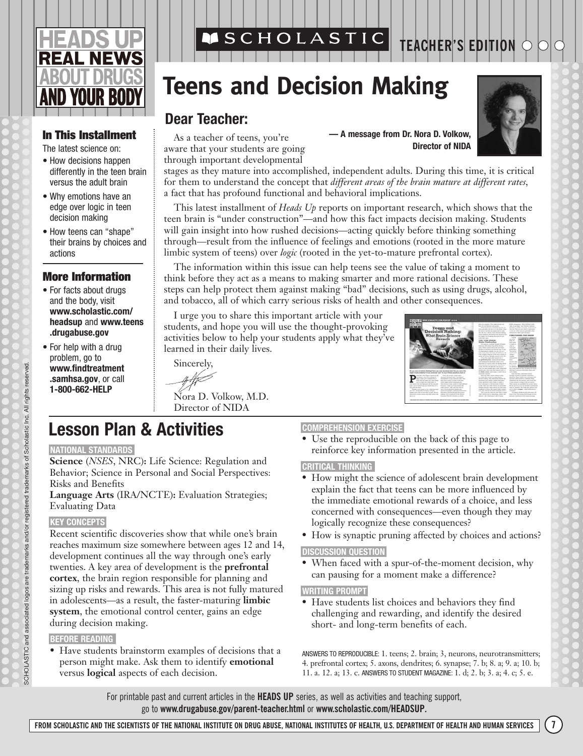

**In This Installment** The latest science on: • How decisions happen differently in the teen brain versus the adult brain • Why emotions have an edge over logic in teen decision making

### **MSCHOLASTIC**

# **TEACHER'S EDITION**

# **Teens and Decision Making**

### **Dear Teacher:**

As a teacher of teens, you're aware that your students are going through important developmental

**— A message from Dr. Nora D. Volkow, Director of NIDA**



stages as they mature into accomplished, independent adults. During this time, it is critical for them to understand the concept that *different areas of the brain mature at different rates*, a fact that has profound functional and behavioral implications.

This latest installment of *Heads Up* reports on important research, which shows that the teen brain is "under construction"—and how this fact impacts decision making. Students will gain insight into how rushed decisions—acting quickly before thinking something through—result from the influence of feelings and emotions (rooted in the more mature limbic system of teens) over *logic* (rooted in the yet-to-mature prefrontal cortex).

The information within this issue can help teens see the value of taking a moment to think before they act as a means to making smarter and more rational decisions. These steps can help protect them against making "bad" decisions, such as using drugs, alcohol, and tobacco, all of which carry serious risks of health and other consequences.

I urge you to share this important article with your students, and hope you will use the thought-provoking activities below to help your students apply what they've d in their daily lives.

| iearneg in tr |  |
|---------------|--|
| Sincerely,    |  |
|               |  |

Nora D. Volkow, M.D. Director of NIDA

# **Lesson Plan & Activities**<br>
• Use the reproducible on the back of this page to

#### **NATIONAL STANDARDS**

• For facts about drugs<br>and the body visit

and the body, visit

**REAL ACTIONS** 

**More Information** 

• How teens can "shape"<br>their brains by choices and

their brains by choices and

**Science** (*NSES*, NRC)**:** Life Science: Regulation and Behavior; Science in Personal and Social Perspectives: Risks and Benefits

**Language Arts** (IRA/NCTE)**:** Evaluation Strategies; Evaluating Data

#### **KEY CONCEPTS**

Recent scientific discoveries show that while one's brain reaches maximum size somewhere between ages 12 and 14, development continues all the way through one's early twenties. A key area of development is the **prefrontal cortex**, the brain region responsible for planning and sizing up risks and rewards. This area is not fully matured in adolescents—as a result, the faster-maturing **limbic system**, the emotional control center, gains an edge during decision making.

#### **BEFORE READING**

• Have students brainstorm examples of decisions that a person might make. Ask them to identify **emotional** versus **logical** aspects of each decision.

#### **COMPREHENSION EXERCISE**

reinforce key information presented in the article.

#### **CRITICAL THINKING**

- How might the science of adolescent brain development explain the fact that teens can be more influenced by the immediate emotional rewards of a choice, and less concerned with consequences—even though they may logically recognize these consequences?
- **DISCUSSION QUESTION** • How is synaptic pruning affected by choices and actions?
- When faced with a spur-of-the-moment decision, why can pausing for a moment make a difference?

#### **WRITING PROMPT**

Have students list choices and behaviors they find challenging and rewarding, and identify the desired short- and long-term benefits of each.

ANSWERS TO REPRODUCIBLE: 1. teens; 2. brain; 3, neurons, neurotransmitters; 4. prefrontal cortex; 5. axons, dendrites; 6. synapse; 7. b; 8. a; 9. a; 10. b; 11. a. 12. a; 13. c. ANSWERS TO STUDENT MAGAZINE: 1. d; 2. b; 3. a; 4. c; 5. e.

For printable past and current articles in the **HEADS UP** series, as well as activities and teaching support, go to **www.drugabuse.gov/parent-teacher.html** or **www.scholastic.com/HEADSUP.**

SCHOLASTIC and associated logos are trademarks and/or registered trademarks of Scholastic Inc. All rights reserved.

SCHOLASTIC and associated logos are trademarks and/or registered trademarks of Scholastic Inc. All rights reserved

**FROM SCHOLASTIC AND THE SCIENTISTS OF THE NATIONAL INSTITUTE ON DRUG ABUSE, NATIONAL INSTITUTES OF HEALTH, U.S. DEPARTMENT OF HEALTH AND HUMAN SERVICES 7**